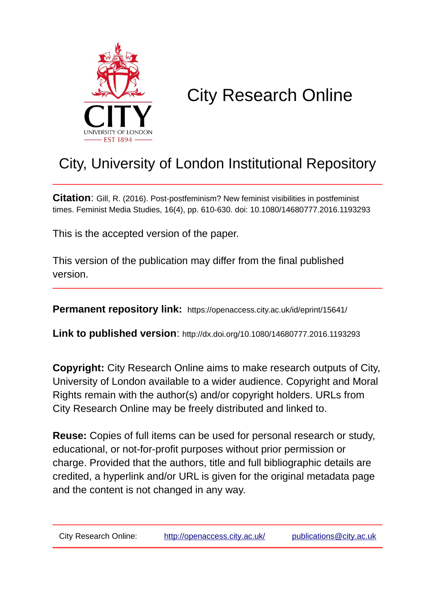

# City Research Online

# City, University of London Institutional Repository

**Citation**: Gill, R. (2016). Post-postfeminism? New feminist visibilities in postfeminist times. Feminist Media Studies, 16(4), pp. 610-630. doi: 10.1080/14680777.2016.1193293

This is the accepted version of the paper.

This version of the publication may differ from the final published version.

**Permanent repository link:** https://openaccess.city.ac.uk/id/eprint/15641/

**Link to published version**: http://dx.doi.org/10.1080/14680777.2016.1193293

**Copyright:** City Research Online aims to make research outputs of City, University of London available to a wider audience. Copyright and Moral Rights remain with the author(s) and/or copyright holders. URLs from City Research Online may be freely distributed and linked to.

**Reuse:** Copies of full items can be used for personal research or study, educational, or not-for-profit purposes without prior permission or charge. Provided that the authors, title and full bibliographic details are credited, a hyperlink and/or URL is given for the original metadata page and the content is not changed in any way.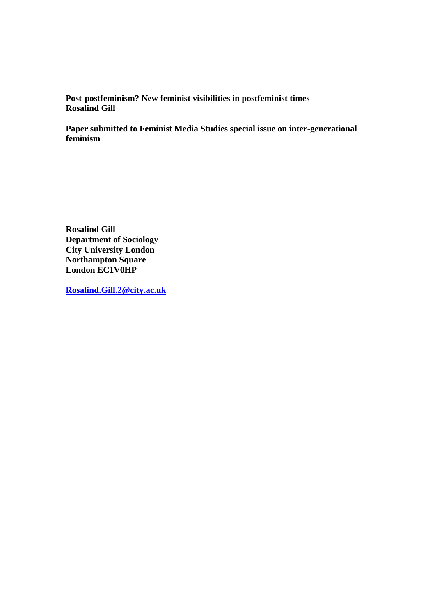**Post-postfeminism? New feminist visibilities in postfeminist times Rosalind Gill**

**Paper submitted to Feminist Media Studies special issue on inter-generational feminism**

**Rosalind Gill Department of Sociology City University London Northampton Square London EC1V0HP**

**[Rosalind.Gill.2@city.ac.uk](mailto:Rosalind.Gill.2@city.ac.uk)**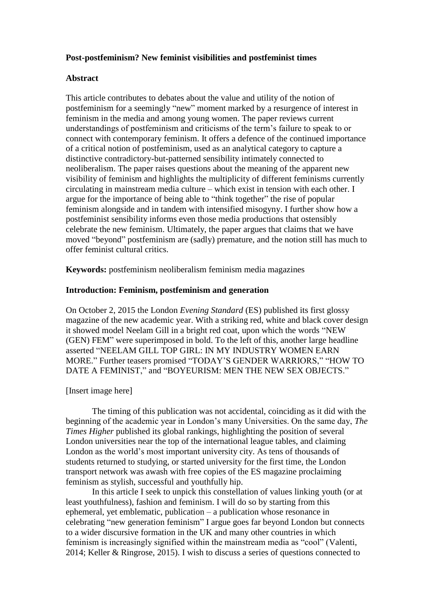# **Post-postfeminism? New feminist visibilities and postfeminist times**

# **Abstract**

This article contributes to debates about the value and utility of the notion of postfeminism for a seemingly "new" moment marked by a resurgence of interest in feminism in the media and among young women. The paper reviews current understandings of postfeminism and criticisms of the term's failure to speak to or connect with contemporary feminism. It offers a defence of the continued importance of a critical notion of postfeminism, used as an analytical category to capture a distinctive contradictory-but-patterned sensibility intimately connected to neoliberalism. The paper raises questions about the meaning of the apparent new visibility of feminism and highlights the multiplicity of different feminisms currently circulating in mainstream media culture – which exist in tension with each other. I argue for the importance of being able to "think together" the rise of popular feminism alongside and in tandem with intensified misogyny. I further show how a postfeminist sensibility informs even those media productions that ostensibly celebrate the new feminism. Ultimately, the paper argues that claims that we have moved "beyond" postfeminism are (sadly) premature, and the notion still has much to offer feminist cultural critics.

**Keywords:** postfeminism neoliberalism feminism media magazines

# **Introduction: Feminism, postfeminism and generation**

On October 2, 2015 the London *Evening Standard* (ES) published its first glossy magazine of the new academic year. With a striking red, white and black cover design it showed model Neelam Gill in a bright red coat, upon which the words "NEW (GEN) FEM" were superimposed in bold. To the left of this, another large headline asserted "NEELAM GILL TOP GIRL: IN MY INDUSTRY WOMEN EARN MORE." Further teasers promised "TODAY'S GENDER WARRIORS," "HOW TO DATE A FEMINIST," and "BOYEURISM: MEN THE NEW SEX OBJECTS."

[Insert image here]

The timing of this publication was not accidental, coinciding as it did with the beginning of the academic year in London's many Universities. On the same day, *The Times Higher* published its global rankings, highlighting the position of several London universities near the top of the international league tables, and claiming London as the world's most important university city. As tens of thousands of students returned to studying, or started university for the first time, the London transport network was awash with free copies of the ES magazine proclaiming feminism as stylish, successful and youthfully hip.

In this article I seek to unpick this constellation of values linking youth (or at least youthfulness), fashion and feminism. I will do so by starting from this ephemeral, yet emblematic, publication – a publication whose resonance in celebrating "new generation feminism" I argue goes far beyond London but connects to a wider discursive formation in the UK and many other countries in which feminism is increasingly signified within the mainstream media as "cool" (Valenti, 2014; Keller & Ringrose, 2015). I wish to discuss a series of questions connected to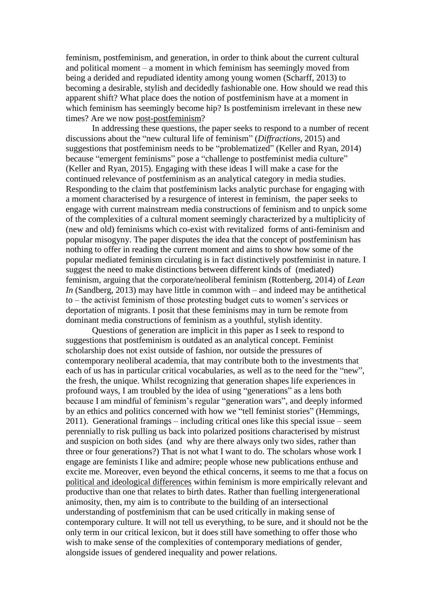feminism, postfeminism, and generation, in order to think about the current cultural and political moment – a moment in which feminism has seemingly moved from being a derided and repudiated identity among young women (Scharff, 2013) to becoming a desirable, stylish and decidedly fashionable one. How should we read this apparent shift? What place does the notion of postfeminism have at a moment in which feminism has seemingly become hip? Is postfeminism irrelevant in these new times? Are we now post-postfeminism?

In addressing these questions, the paper seeks to respond to a number of recent discussions about the "new cultural life of feminism" (*Diffractions*, 2015) and suggestions that postfeminism needs to be "problematized" (Keller and Ryan, 2014) because "emergent feminisms" pose a "challenge to postfeminist media culture" (Keller and Ryan, 2015). Engaging with these ideas I will make a case for the continued relevance of postfeminism as an analytical category in media studies. Responding to the claim that postfeminism lacks analytic purchase for engaging with a moment characterised by a resurgence of interest in feminism, the paper seeks to engage with current mainstream media constructions of feminism and to unpick some of the complexities of a cultural moment seemingly characterized by a multiplicity of (new and old) feminisms which co-exist with revitalized forms of anti-feminism and popular misogyny. The paper disputes the idea that the concept of postfeminism has nothing to offer in reading the current moment and aims to show how some of the popular mediated feminism circulating is in fact distinctively postfeminist in nature. I suggest the need to make distinctions between different kinds of (mediated) feminism, arguing that the corporate/neoliberal feminism (Rottenberg, 2014) of *Lean In* (Sandberg, 2013) may have little in common with – and indeed may be antithetical to – the activist feminism of those protesting budget cuts to women's services or deportation of migrants. I posit that these feminisms may in turn be remote from dominant media constructions of feminism as a youthful, stylish identity.

Questions of generation are implicit in this paper as I seek to respond to suggestions that postfeminism is outdated as an analytical concept. Feminist scholarship does not exist outside of fashion, nor outside the pressures of contemporary neoliberal academia, that may contribute both to the investments that each of us has in particular critical vocabularies, as well as to the need for the "new", the fresh, the unique. Whilst recognizing that generation shapes life experiences in profound ways, I am troubled by the idea of using "generations" as a lens both because I am mindful of feminism's regular "generation wars", and deeply informed by an ethics and politics concerned with how we "tell feminist stories" (Hemmings, 2011). Generational framings – including critical ones like this special issue – seem perennially to risk pulling us back into polarized positions characterised by mistrust and suspicion on both sides (and why are there always only two sides, rather than three or four generations?) That is not what I want to do. The scholars whose work I engage are feminists I like and admire; people whose new publications enthuse and excite me. Moreover, even beyond the ethical concerns, it seems to me that a focus on political and ideological differences within feminism is more empirically relevant and productive than one that relates to birth dates. Rather than fuelling intergenerational animosity, then, my aim is to contribute to the building of an intersectional understanding of postfeminism that can be used critically in making sense of contemporary culture. It will not tell us everything, to be sure, and it should not be the only term in our critical lexicon, but it does still have something to offer those who wish to make sense of the complexities of contemporary mediations of gender, alongside issues of gendered inequality and power relations.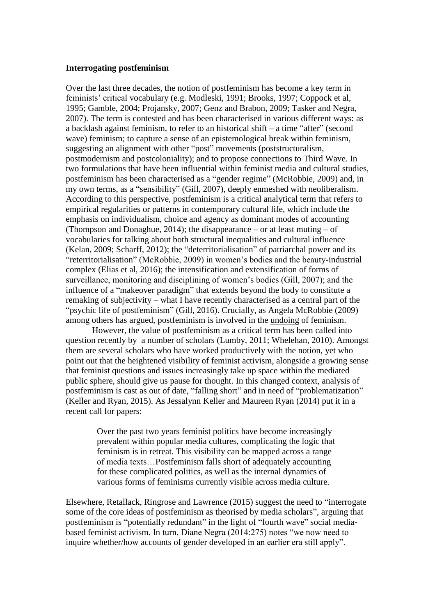#### **Interrogating postfeminism**

Over the last three decades, the notion of postfeminism has become a key term in feminists' critical vocabulary (e.g. Modleski, 1991; Brooks, 1997; Coppock et al, 1995; Gamble, 2004; Projansky, 2007; Genz and Brabon, 2009; Tasker and Negra, 2007). The term is contested and has been characterised in various different ways: as a backlash against feminism, to refer to an historical shift – a time "after" (second wave) feminism; to capture a sense of an epistemological break within feminism, suggesting an alignment with other "post" movements (poststructuralism, postmodernism and postcoloniality); and to propose connections to Third Wave. In two formulations that have been influential within feminist media and cultural studies, postfeminism has been characterised as a "gender regime" (McRobbie, 2009) and, in my own terms, as a "sensibility" (Gill, 2007), deeply enmeshed with neoliberalism. According to this perspective, postfeminism is a critical analytical term that refers to empirical regularities or patterns in contemporary cultural life, which include the emphasis on individualism, choice and agency as dominant modes of accounting (Thompson and Donaghue, 2014); the disappearance – or at least muting – of vocabularies for talking about both structural inequalities and cultural influence (Kelan, 2009; Scharff, 2012); the "deterritorialisation" of patriarchal power and its "reterritorialisation" (McRobbie, 2009) in women's bodies and the beauty-industrial complex (Elias et al, 2016); the intensification and extensification of forms of surveillance, monitoring and disciplining of women's bodies (Gill, 2007); and the influence of a "makeover paradigm" that extends beyond the body to constitute a remaking of subjectivity – what I have recently characterised as a central part of the "psychic life of postfeminism" (Gill, 2016). Crucially, as Angela McRobbie (2009) among others has argued, postfeminism is involved in the undoing of feminism.

However, the value of postfeminism as a critical term has been called into question recently by a number of scholars (Lumby, 2011; Whelehan, 2010). Amongst them are several scholars who have worked productively with the notion, yet who point out that the heightened visibility of feminist activism, alongside a growing sense that feminist questions and issues increasingly take up space within the mediated public sphere, should give us pause for thought. In this changed context, analysis of postfeminism is cast as out of date, "falling short" and in need of "problematization" (Keller and Ryan, 2015). As Jessalynn Keller and Maureen Ryan (2014) put it in a recent call for papers:

> Over the past two years feminist politics have become increasingly prevalent within popular media cultures, complicating the logic that feminism is in retreat. This visibility can be mapped across a range of media texts…Postfeminism falls short of adequately accounting for these complicated politics, as well as the internal dynamics of various forms of feminisms currently visible across media culture.

Elsewhere, Retallack, Ringrose and Lawrence (2015) suggest the need to "interrogate some of the core ideas of postfeminism as theorised by media scholars", arguing that postfeminism is "potentially redundant" in the light of "fourth wave" social mediabased feminist activism. In turn, Diane Negra (2014:275) notes "we now need to inquire whether/how accounts of gender developed in an earlier era still apply".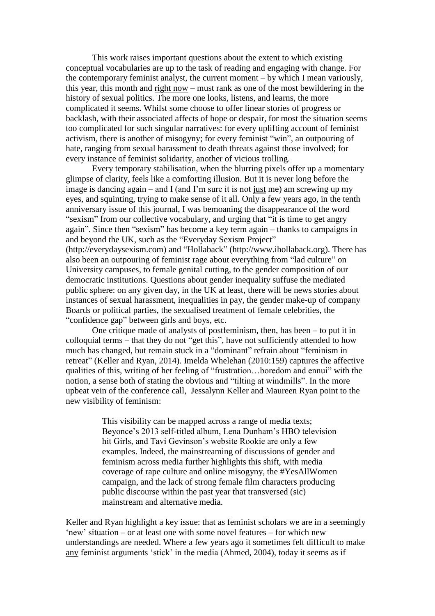This work raises important questions about the extent to which existing conceptual vocabularies are up to the task of reading and engaging with change. For the contemporary feminist analyst, the current moment – by which I mean variously, this year, this month and right now – must rank as one of the most bewildering in the history of sexual politics. The more one looks, listens, and learns, the more complicated it seems. Whilst some choose to offer linear stories of progress or backlash, with their associated affects of hope or despair, for most the situation seems too complicated for such singular narratives: for every uplifting account of feminist activism, there is another of misogyny; for every feminist "win", an outpouring of hate, ranging from sexual harassment to death threats against those involved; for every instance of feminist solidarity, another of vicious trolling.

Every temporary stabilisation, when the blurring pixels offer up a momentary glimpse of clarity, feels like a comforting illusion. But it is never long before the image is dancing again – and I (and I'm sure it is not just me) am screwing up my eyes, and squinting, trying to make sense of it all. Only a few years ago, in the tenth anniversary issue of this journal, I was bemoaning the disappearance of the word "sexism" from our collective vocabulary, and urging that "it is time to get angry again". Since then "sexism" has become a key term again – thanks to campaigns in and beyond the UK, such as the "Everyday Sexism Project" (http://everydaysexism.com) and "Hollaback" (http://www.ihollaback.org). There has also been an outpouring of feminist rage about everything from "lad culture" on University campuses, to female genital cutting, to the gender composition of our democratic institutions. Questions about gender inequality suffuse the mediated public sphere: on any given day, in the UK at least, there will be news stories about instances of sexual harassment, inequalities in pay, the gender make-up of company Boards or political parties, the sexualised treatment of female celebrities, the "confidence gap" between girls and boys, etc.

One critique made of analysts of postfeminism, then, has been – to put it in colloquial terms – that they do not "get this", have not sufficiently attended to how much has changed, but remain stuck in a "dominant" refrain about "feminism in retreat" (Keller and Ryan, 2014). Imelda Whelehan (2010:159) captures the affective qualities of this, writing of her feeling of "frustration…boredom and ennui" with the notion, a sense both of stating the obvious and "tilting at windmills". In the more upbeat vein of the conference call, Jessalynn Keller and Maureen Ryan point to the new visibility of feminism:

> This visibility can be mapped across a range of media texts; Beyonce's 2013 self-titled album, Lena Dunham's HBO television hit Girls, and Tavi Gevinson's website Rookie are only a few examples. Indeed, the mainstreaming of discussions of gender and feminism across media further highlights this shift, with media coverage of rape culture and online misogyny, the #YesAllWomen campaign, and the lack of strong female film characters producing public discourse within the past year that transversed (sic) mainstream and alternative media.

Keller and Ryan highlight a key issue: that as feminist scholars we are in a seemingly 'new' situation – or at least one with some novel features – for which new understandings are needed. Where a few years ago it sometimes felt difficult to make any feminist arguments 'stick' in the media (Ahmed, 2004), today it seems as if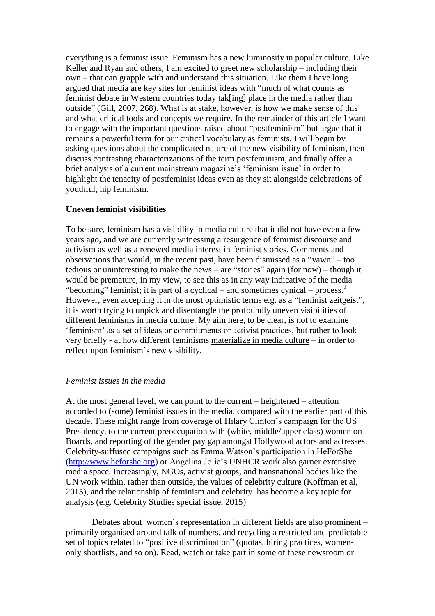everything is a feminist issue. Feminism has a new luminosity in popular culture. Like Keller and Ryan and others, I am excited to greet new scholarship – including their own – that can grapple with and understand this situation. Like them I have long argued that media are key sites for feminist ideas with "much of what counts as feminist debate in Western countries today tak[ing] place in the media rather than outside" (Gill, 2007, 268). What is at stake, however, is how we make sense of this and what critical tools and concepts we require. In the remainder of this article I want to engage with the important questions raised about "postfeminism" but argue that it remains a powerful term for our critical vocabulary as feminists. I will begin by asking questions about the complicated nature of the new visibility of feminism, then discuss contrasting characterizations of the term postfeminism, and finally offer a brief analysis of a current mainstream magazine's 'feminism issue' in order to highlight the tenacity of postfeminist ideas even as they sit alongside celebrations of youthful, hip feminism.

# **Uneven feminist visibilities**

To be sure, feminism has a visibility in media culture that it did not have even a few years ago, and we are currently witnessing a resurgence of feminist discourse and activism as well as a renewed media interest in feminist stories. Comments and observations that would, in the recent past, have been dismissed as a "yawn" – too tedious or uninteresting to make the news – are "stories" again (for now) – though it would be premature, in my view, to see this as in any way indicative of the media "becoming" feminist; it is part of a cyclical – and sometimes cynical – process.<sup>1</sup> However, even accepting it in the most optimistic terms e.g. as a "feminist zeitgeist", it is worth trying to unpick and disentangle the profoundly uneven visibilities of different feminisms in media culture. My aim here, to be clear, is not to examine 'feminism' as a set of ideas or commitments or activist practices, but rather to look – very briefly - at how different feminisms materialize in media culture – in order to reflect upon feminism's new visibility.

# *Feminist issues in the media*

At the most general level, we can point to the current – heightened – attention accorded to (some) feminist issues in the media, compared with the earlier part of this decade. These might range from coverage of Hilary Clinton's campaign for the US Presidency, to the current preoccupation with (white, middle/upper class) women on Boards, and reporting of the gender pay gap amongst Hollywood actors and actresses. Celebrity-suffused campaigns such as Emma Watson's participation in HeForShe [\(http://www.heforshe.org\)](http://www.heforshe.org/) or Angelina Jolie's UNHCR work also garner extensive media space. Increasingly, NGOs, activist groups, and transnational bodies like the UN work within, rather than outside, the values of celebrity culture (Koffman et al, 2015), and the relationship of feminism and celebrity has become a key topic for analysis (e.g. Celebrity Studies special issue, 2015)

Debates about women's representation in different fields are also prominent – primarily organised around talk of numbers, and recycling a restricted and predictable set of topics related to "positive discrimination" (quotas, hiring practices, womenonly shortlists, and so on). Read, watch or take part in some of these newsroom or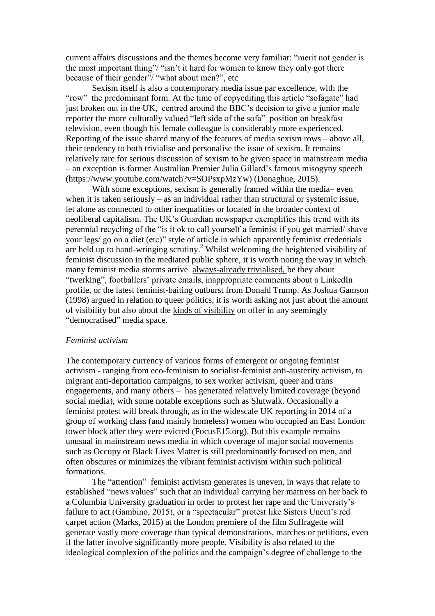current affairs discussions and the themes become very familiar: "merit not gender is the most important thing"/ "isn't it hard for women to know they only got there because of their gender"/ "what about men?", etc

Sexism itself is also a contemporary media issue par excellence, with the "row" the predominant form. At the time of copyediting this article "sofagate" had just broken out in the UK, centred around the BBC's decision to give a junior male reporter the more culturally valued "left side of the sofa" position on breakfast television, even though his female colleague is considerably more experienced. Reporting of the issue shared many of the features of media sexism rows – above all, their tendency to both trivialise and personalise the issue of sexism. It remains relatively rare for serious discussion of sexism to be given space in mainstream media – an exception is former Australian Premier Julia Gillard's famous misogyny speech (https://www.youtube.com/watch?v=SOPsxpMzYw) (Donaghue, 2015).

With some exceptions, sexism is generally framed within the media– even when it is taken seriously – as an individual rather than structural or systemic issue, let alone as connected to other inequalities or located in the broader context of neoliberal capitalism. The UK's Guardian newspaper exemplifies this trend with its perennial recycling of the "is it ok to call yourself a feminist if you get married/ shave your legs/ go on a diet (etc)" style of article in which apparently feminist credentials are held up to hand-wringing scrutiny.<sup>2</sup> Whilst welcoming the heightened visibility of feminist discussion in the mediated public sphere, it is worth noting the way in which many feminist media storms arrive always-already trivialised, be they about "twerking", footballers' private emails, inappropriate comments about a LinkedIn profile, or the latest feminist-baiting outburst from Donald Trump. As Joshua Gamson (1998) argued in relation to queer politics, it is worth asking not just about the amount of visibility but also about the kinds of visibility on offer in any seemingly "democratised" media space.

#### *Feminist activism*

The contemporary currency of various forms of emergent or ongoing feminist activism - ranging from eco-feminism to socialist-feminist anti-austerity activism, to migrant anti-deportation campaigns, to sex worker activism, queer and trans engagements, and many others – has generated relatively limited coverage (beyond social media), with some notable exceptions such as Slutwalk. Occasionally a feminist protest will break through, as in the widescale UK reporting in 2014 of a group of working class (and mainly homeless) women who occupied an East London tower block after they were evicted (FocusE15.org). But this example remains unusual in mainstream news media in which coverage of major social movements such as Occupy or Black Lives Matter is still predominantly focused on men, and often obscures or minimizes the vibrant feminist activism within such political formations.

The "attention" feminist activism generates is uneven, in ways that relate to established "news values" such that an individual carrying her mattress on her back to a Columbia University graduation in order to protest her rape and the University's failure to act (Gambino, 2015), or a "spectacular" protest like Sisters Uncut's red carpet action (Marks, 2015) at the London premiere of the film Suffragette will generate vastly more coverage than typical demonstrations, marches or petitions, even if the latter involve significantly more people. Visibility is also related to the ideological complexion of the politics and the campaign's degree of challenge to the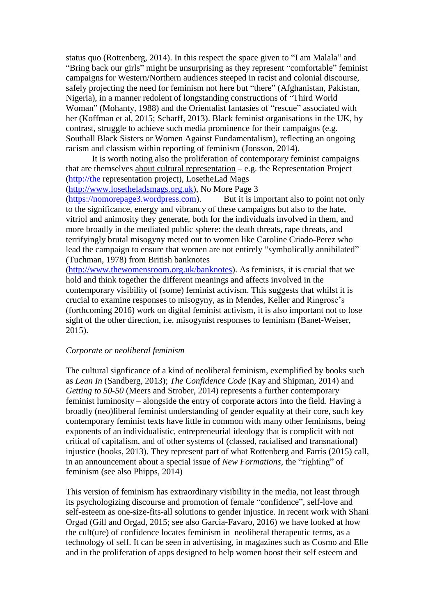status quo (Rottenberg, 2014). In this respect the space given to "I am Malala" and "Bring back our girls" might be unsurprising as they represent "comfortable" feminist campaigns for Western/Northern audiences steeped in racist and colonial discourse, safely projecting the need for feminism not here but "there" (Afghanistan, Pakistan, Nigeria), in a manner redolent of longstanding constructions of "Third World Woman" (Mohanty, 1988) and the Orientalist fantasies of "rescue" associated with her (Koffman et al, 2015; Scharff, 2013). Black feminist organisations in the UK, by contrast, struggle to achieve such media prominence for their campaigns (e.g. Southall Black Sisters or Women Against Fundamentalism), reflecting an ongoing racism and classism within reporting of feminism (Jonsson, 2014).

It is worth noting also the proliferation of contemporary feminist campaigns that are themselves about cultural representation – e.g. the Representation Project [\(http://the](http://the/) representation project), LosetheLad Mags

 $(\frac{http://www.losetheladsmags.org.uk}{https://nonorepage3.wordpress.com})$ . No More Page 3

But it is important also to point not only to the significance, energy and vibrancy of these campaigns but also to the hate, vitriol and animosity they generate, both for the individuals involved in them, and more broadly in the mediated public sphere: the death threats, rape threats, and terrifyingly brutal misogyny meted out to women like Caroline Criado-Perez who lead the campaign to ensure that women are not entirely "symbolically annihilated" (Tuchman, 1978) from British banknotes

[\(http://www.thewomensroom.org.uk/banknotes\)](http://www.thewomensroom.org.uk/banknotes). As feminists, it is crucial that we hold and think together the different meanings and affects involved in the contemporary visibility of (some) feminist activism. This suggests that whilst it is crucial to examine responses to misogyny, as in Mendes, Keller and Ringrose's (forthcoming 2016) work on digital feminist activism, it is also important not to lose sight of the other direction, i.e. misogynist responses to feminism (Banet-Weiser, 2015).

# *Corporate or neoliberal feminism*

The cultural signficance of a kind of neoliberal feminism, exemplified by books such as *Lean In* (Sandberg, 2013); *The Confidence Code* (Kay and Shipman, 2014) and *Getting to 50-50* (Meers and Strober, 2014) represents a further contemporary feminist luminosity – alongside the entry of corporate actors into the field. Having a broadly (neo)liberal feminist understanding of gender equality at their core, such key contemporary feminist texts have little in common with many other feminisms, being exponents of an individualistic, entrepreneurial ideology that is complicit with not critical of capitalism, and of other systems of (classed, racialised and transnational) injustice (hooks, 2013). They represent part of what Rottenberg and Farris (2015) call, in an announcement about a special issue of *New Formations*, the "righting" of feminism (see also Phipps, 2014)

This version of feminism has extraordinary visibility in the media, not least through its psychologizing discourse and promotion of female "confidence", self-love and self-esteem as one-size-fits-all solutions to gender injustice. In recent work with Shani Orgad (Gill and Orgad, 2015; see also Garcia-Favaro, 2016) we have looked at how the cult(ure) of confidence locates feminism in neoliberal therapeutic terms, as a technology of self. It can be seen in advertising, in magazines such as Cosmo and Elle and in the proliferation of apps designed to help women boost their self esteem and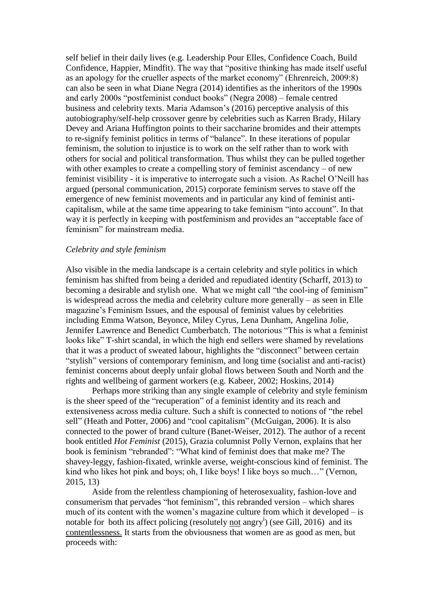self belief in their daily lives (e.g. Leadership Pour Elles, Confidence Coach, Build Confidence, Happier, Mindfit). The way that "positive thinking has made itself useful as an apology for the crueller aspects of the market economy" (Ehrenreich, 2009:8) can also be seen in what Diane Negra (2014) identifies as the inheritors of the 1990s and early 2000s "postfeminist conduct books" (Negra 2008) – female centred business and celebrity texts. Maria Adamson's (2016) perceptive analysis of this autobiography/self-help crossover genre by celebrities such as Karren Brady, Hilary Devey and Ariana Huffington points to their saccharine bromides and their attempts to re-signify feminist politics in terms of "balance". In these iterations of popular feminism, the solution to injustice is to work on the self rather than to work with others for social and political transformation. Thus whilst they can be pulled together with other examples to create a compelling story of feminist ascendancy – of new feminist visibility - it is imperative to interrogate such a vision. As Rachel O'Neill has argued (personal communication, 2015) corporate feminism serves to stave off the emergence of new feminist movements and in particular any kind of feminist anticapitalism, while at the same time appearing to take feminism "into account". In that way it is perfectly in keeping with postfeminism and provides an "acceptable face of feminism" for mainstream media.

#### *Celebrity and style feminism*

Also visible in the media landscape is a certain celebrity and style politics in which feminism has shifted from being a derided and repudiated identity (Scharff, 2013) to becoming a desirable and stylish one. What we might call "the cool-ing of feminism" is widespread across the media and celebrity culture more generally – as seen in Elle magazine's Feminism Issues, and the espousal of feminist values by celebrities including Emma Watson, Beyonce, Miley Cyrus, Lena Dunham, Angelina Jolie, Jennifer Lawrence and Benedict Cumberbatch. The notorious "This is what a feminist looks like" T-shirt scandal, in which the high end sellers were shamed by revelations that it was a product of sweated labour, highlights the "disconnect" between certain "stylish" versions of contemporary feminism, and long time (socialist and anti-racist) feminist concerns about deeply unfair global flows between South and North and the rights and wellbeing of garment workers (e.g. Kabeer, 2002; Hoskins, 2014)

Perhaps more striking than any single example of celebrity and style feminism is the sheer speed of the "recuperation" of a feminist identity and its reach and extensiveness across media culture. Such a shift is connected to notions of "the rebel sell" (Heath and Potter, 2006) and "cool capitalism" (McGuigan, 2006). It is also connected to the power of brand culture (Banet-Weiser, 2012). The author of a recent book entitled *Hot Feminist* (2015), Grazia columnist Polly Vernon, explains that her book is feminism "rebranded": "What kind of feminist does that make me? The shavey-leggy, fashion-fixated, wrinkle averse, weight-conscious kind of feminist. The kind who likes hot pink and boys; oh, I like boys! I like boys so much…" (Vernon, 2015, 13)

Aside from the relentless championing of heterosexuality, fashion-love and consumerism that pervades "hot feminism", this rebranded version – which shares much of its content with the women's magazine culture from which it developed – is notable for both its affect policing (resolutely not angry<sup>i</sup>) (see Gill, 2016) and its contentlessness. It starts from the obviousness that women are as good as men, but proceeds with: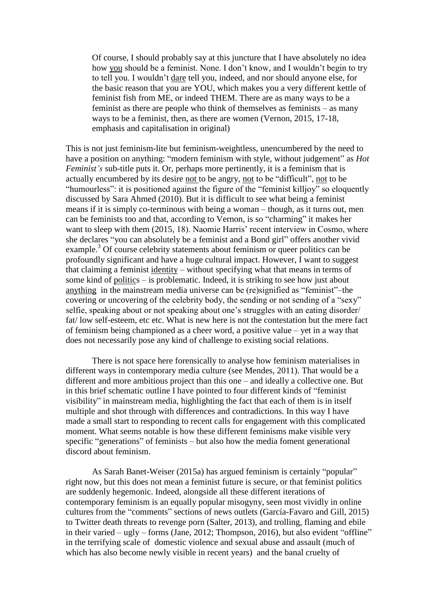Of course, I should probably say at this juncture that I have absolutely no idea how you should be a feminist. None. I don't know, and I wouldn't begin to try to tell you. I wouldn't dare tell you, indeed, and nor should anyone else, for the basic reason that you are YOU, which makes you a very different kettle of feminist fish from ME, or indeed THEM. There are as many ways to be a feminist as there are people who think of themselves as feminists – as many ways to be a feminist, then, as there are women (Vernon, 2015, 17-18, emphasis and capitalisation in original)

This is not just feminism-lite but feminism-weightless, unencumbered by the need to have a position on anything: "modern feminism with style, without judgement" as *Hot Feminist's* sub-title puts it. Or, perhaps more pertinently, it is a feminism that is actually encumbered by its desire not to be angry, not to be "difficult", not to be "humourless": it is positioned against the figure of the "feminist killjoy" so eloquently discussed by Sara Ahmed (2010). But it is difficult to see what being a feminist means if it is simply co-terminous with being a woman – though, as it turns out, men can be feminists too and that, according to Vernon, is so "charming" it makes her want to sleep with them (2015, 18). Naomie Harris' recent interview in Cosmo, where she declares "you can absolutely be a feminist and a Bond girl" offers another vivid example.<sup>3</sup> Of course celebrity statements about feminism or queer politics can be profoundly significant and have a huge cultural impact. However, I want to suggest that claiming a feminist identity – without specifying what that means in terms of some kind of politics – is problematic. Indeed, it is striking to see how just about anything in the mainstream media universe can be (re)signified as "feminist"–the covering or uncovering of the celebrity body, the sending or not sending of a "sexy" selfie, speaking about or not speaking about one's struggles with an eating disorder/ fat/ low self-esteem, etc etc. What is new here is not the contestation but the mere fact of feminism being championed as a cheer word, a positive value – yet in a way that does not necessarily pose any kind of challenge to existing social relations.

There is not space here forensically to analyse how feminism materialises in different ways in contemporary media culture (see Mendes, 2011). That would be a different and more ambitious project than this one – and ideally a collective one. But in this brief schematic outline I have pointed to four different kinds of "feminist visibility" in mainstream media, highlighting the fact that each of them is in itself multiple and shot through with differences and contradictions. In this way I have made a small start to responding to recent calls for engagement with this complicated moment. What seems notable is how these different feminisms make visible very specific "generations" of feminists – but also how the media foment generational discord about feminism.

As Sarah Banet-Weiser (2015a) has argued feminism is certainly "popular" right now, but this does not mean a feminist future is secure, or that feminist politics are suddenly hegemonic. Indeed, alongside all these different iterations of contemporary feminism is an equally popular misogyny, seen most vividly in online cultures from the "comments" sections of news outlets (García-Favaro and Gill, 2015) to Twitter death threats to revenge porn (Salter, 2013), and trolling, flaming and ebile in their varied – ugly – forms (Jane, 2012; Thompson, 2016), but also evident "offline" in the terrifying scale of domestic violence and sexual abuse and assault (much of which has also become newly visible in recent years) and the banal cruelty of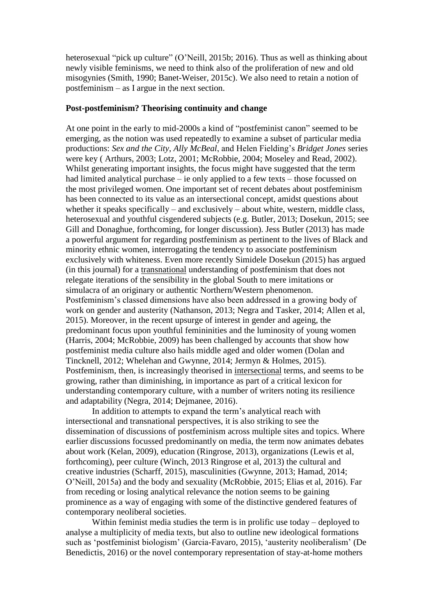heterosexual "pick up culture" (O'Neill, 2015b; 2016). Thus as well as thinking about newly visible feminisms, we need to think also of the proliferation of new and old misogynies (Smith, 1990; Banet-Weiser, 2015c). We also need to retain a notion of postfeminism – as I argue in the next section.

### **Post-postfeminism? Theorising continuity and change**

At one point in the early to mid-2000s a kind of "postfeminist canon" seemed to be emerging, as the notion was used repeatedly to examine a subset of particular media productions: *Sex and the City*, *Ally McBeal*, and Helen Fielding's *Bridget Jones* series were key ( Arthurs, 2003; Lotz, 2001; McRobbie, 2004; Moseley and Read, 2002). Whilst generating important insights, the focus might have suggested that the term had limited analytical purchase – ie only applied to a few texts – those focussed on the most privileged women. One important set of recent debates about postfeminism has been connected to its value as an intersectional concept, amidst questions about whether it speaks specifically – and exclusively – about white, western, middle class, heterosexual and youthful cisgendered subjects (e.g. Butler, 2013; Dosekun, 2015; see Gill and Donaghue, forthcoming, for longer discussion). Jess Butler (2013) has made a powerful argument for regarding postfeminism as pertinent to the lives of Black and minority ethnic women, interrogating the tendency to associate postfeminism exclusively with whiteness. Even more recently Simidele Dosekun (2015) has argued (in this journal) for a transnational understanding of postfeminism that does not relegate iterations of the sensibility in the global South to mere imitations or simulacra of an originary or authentic Northern/Western phenomenon. Postfeminism's classed dimensions have also been addressed in a growing body of work on gender and austerity (Nathanson, 2013; Negra and Tasker, 2014; Allen et al, 2015). Moreover, in the recent upsurge of interest in gender and ageing, the predominant focus upon youthful femininities and the luminosity of young women (Harris, 2004; McRobbie, 2009) has been challenged by accounts that show how postfeminist media culture also hails middle aged and older women (Dolan and Tincknell, 2012; Whelehan and Gwynne, 2014; Jermyn & Holmes, 2015). Postfeminism, then, is increasingly theorised in intersectional terms, and seems to be growing, rather than diminishing, in importance as part of a critical lexicon for understanding contemporary culture, with a number of writers noting its resilience and adaptability (Negra, 2014; Dejmanee, 2016).

In addition to attempts to expand the term's analytical reach with intersectional and transnational perspectives, it is also striking to see the dissemination of discussions of postfeminism across multiple sites and topics. Where earlier discussions focussed predominantly on media, the term now animates debates about work (Kelan, 2009), education (Ringrose, 2013), organizations (Lewis et al, forthcoming), peer culture (Winch, 2013 Ringrose et al, 2013) the cultural and creative industries (Scharff, 2015), masculinities (Gwynne, 2013; Hamad, 2014; O'Neill, 2015a) and the body and sexuality (McRobbie, 2015; Elias et al, 2016). Far from receding or losing analytical relevance the notion seems to be gaining prominence as a way of engaging with some of the distinctive gendered features of contemporary neoliberal societies.

Within feminist media studies the term is in prolific use today – deployed to analyse a multiplicity of media texts, but also to outline new ideological formations such as 'postfeminist biologism' (Garcia-Favaro, 2015), 'austerity neoliberalism' (De Benedictis, 2016) or the novel contemporary representation of stay-at-home mothers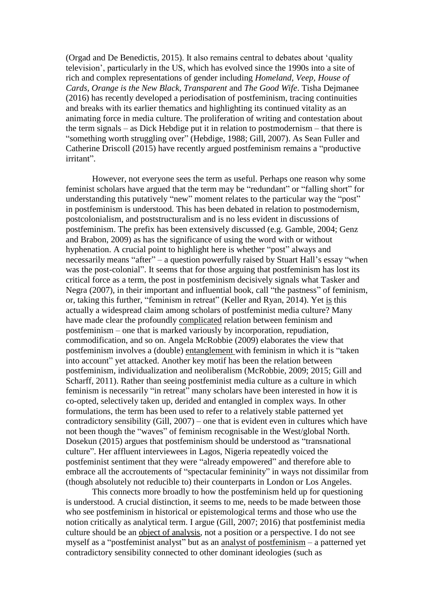(Orgad and De Benedictis, 2015). It also remains central to debates about 'quality television', particularly in the US, which has evolved since the 1990s into a site of rich and complex representations of gender including *Homeland, Veep, House of Cards, Orange is the New Black, Transparent* and *The Good Wife*. Tisha Dejmanee (2016) has recently developed a periodisation of postfeminism, tracing continuities and breaks with its earlier thematics and highlighting its continued vitality as an animating force in media culture. The proliferation of writing and contestation about the term signals – as Dick Hebdige put it in relation to postmodernism – that there is "something worth struggling over" (Hebdige, 1988; Gill, 2007). As Sean Fuller and Catherine Driscoll (2015) have recently argued postfeminism remains a "productive irritant".

However, not everyone sees the term as useful. Perhaps one reason why some feminist scholars have argued that the term may be "redundant" or "falling short" for understanding this putatively "new" moment relates to the particular way the "post" in postfeminism is understood. This has been debated in relation to postmodernism, postcolonialism, and poststructuralism and is no less evident in discussions of postfeminism. The prefix has been extensively discussed (e.g. Gamble, 2004; Genz and Brabon, 2009) as has the significance of using the word with or without hyphenation. A crucial point to highlight here is whether "post" always and necessarily means "after" – a question powerfully raised by Stuart Hall's essay "when was the post-colonial". It seems that for those arguing that postfeminism has lost its critical force as a term, the post in postfeminism decisively signals what Tasker and Negra (2007), in their important and influential book, call "the pastness" of feminism, or, taking this further, "feminism in retreat" (Keller and Ryan, 2014). Yet is this actually a widespread claim among scholars of postfeminist media culture? Many have made clear the profoundly complicated relation between feminism and postfeminism – one that is marked variously by incorporation, repudiation, commodification, and so on. Angela McRobbie (2009) elaborates the view that postfeminism involves a (double) entanglement with feminism in which it is "taken into account" yet attacked. Another key motif has been the relation between postfeminism, individualization and neoliberalism (McRobbie, 2009; 2015; Gill and Scharff, 2011). Rather than seeing postfeminist media culture as a culture in which feminism is necessarily "in retreat" many scholars have been interested in how it is co-opted, selectively taken up, derided and entangled in complex ways. In other formulations, the term has been used to refer to a relatively stable patterned yet contradictory sensibility (Gill, 2007) – one that is evident even in cultures which have not been though the "waves" of feminism recognisable in the West/global North. Dosekun (2015) argues that postfeminism should be understood as "transnational culture". Her affluent interviewees in Lagos, Nigeria repeatedly voiced the postfeminist sentiment that they were "already empowered" and therefore able to embrace all the accroutements of "spectacular femininity" in ways not dissimilar from (though absolutely not reducible to) their counterparts in London or Los Angeles.

This connects more broadly to how the postfeminism held up for questioning is understood. A crucial distinction, it seems to me, needs to be made between those who see postfeminism in historical or epistemological terms and those who use the notion critically as analytical term. I argue (Gill, 2007; 2016) that postfeminist media culture should be an object of analysis, not a position or a perspective. I do not see myself as a "postfeminist analyst" but as an analyst of postfeminism – a patterned yet contradictory sensibility connected to other dominant ideologies (such as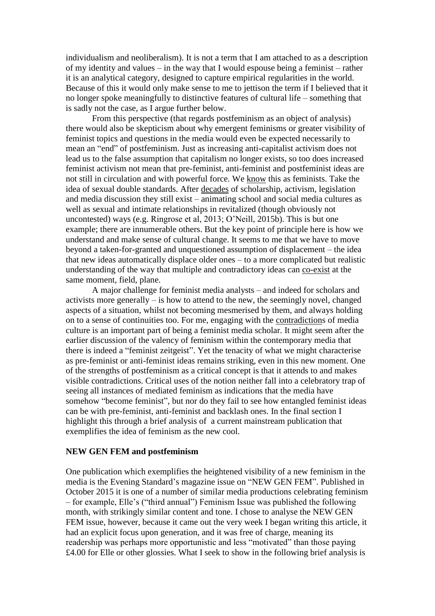individualism and neoliberalism). It is not a term that I am attached to as a description of my identity and values – in the way that I would espouse being a feminist – rather it is an analytical category, designed to capture empirical regularities in the world. Because of this it would only make sense to me to jettison the term if I believed that it no longer spoke meaningfully to distinctive features of cultural life – something that is sadly not the case, as I argue further below.

From this perspective (that regards postfeminism as an object of analysis) there would also be skepticism about why emergent feminisms or greater visibility of feminist topics and questions in the media would even be expected necessarily to mean an "end" of postfeminism. Just as increasing anti-capitalist activism does not lead us to the false assumption that capitalism no longer exists, so too does increased feminist activism not mean that pre-feminist, anti-feminist and postfeminist ideas are not still in circulation and with powerful force. We know this as feminists. Take the idea of sexual double standards. After decades of scholarship, activism, legislation and media discussion they still exist – animating school and social media cultures as well as sexual and intimate relationships in revitalized (though obviously not uncontested) ways (e.g. Ringrose et al, 2013; O'Neill, 2015b). This is but one example; there are innumerable others. But the key point of principle here is how we understand and make sense of cultural change. It seems to me that we have to move beyond a taken-for-granted and unquestioned assumption of displacement – the idea that new ideas automatically displace older ones – to a more complicated but realistic understanding of the way that multiple and contradictory ideas can co-exist at the same moment, field, plane.

A major challenge for feminist media analysts – and indeed for scholars and activists more generally – is how to attend to the new, the seemingly novel, changed aspects of a situation, whilst not becoming mesmerised by them, and always holding on to a sense of continuities too. For me, engaging with the contradictions of media culture is an important part of being a feminist media scholar. It might seem after the earlier discussion of the valency of feminism within the contemporary media that there is indeed a "feminist zeitgeist". Yet the tenacity of what we might characterise as pre-feminist or anti-feminist ideas remains striking, even in this new moment. One of the strengths of postfeminism as a critical concept is that it attends to and makes visible contradictions. Critical uses of the notion neither fall into a celebratory trap of seeing all instances of mediated feminism as indications that the media have somehow "become feminist", but nor do they fail to see how entangled feminist ideas can be with pre-feminist, anti-feminist and backlash ones. In the final section I highlight this through a brief analysis of a current mainstream publication that exemplifies the idea of feminism as the new cool.

### **NEW GEN FEM and postfeminism**

One publication which exemplifies the heightened visibility of a new feminism in the media is the Evening Standard's magazine issue on "NEW GEN FEM". Published in October 2015 it is one of a number of similar media productions celebrating feminism – for example, Elle's ("third annual") Feminism Issue was published the following month, with strikingly similar content and tone. I chose to analyse the NEW GEN FEM issue, however, because it came out the very week I began writing this article, it had an explicit focus upon generation, and it was free of charge, meaning its readership was perhaps more opportunistic and less "motivated" than those paying £4.00 for Elle or other glossies. What I seek to show in the following brief analysis is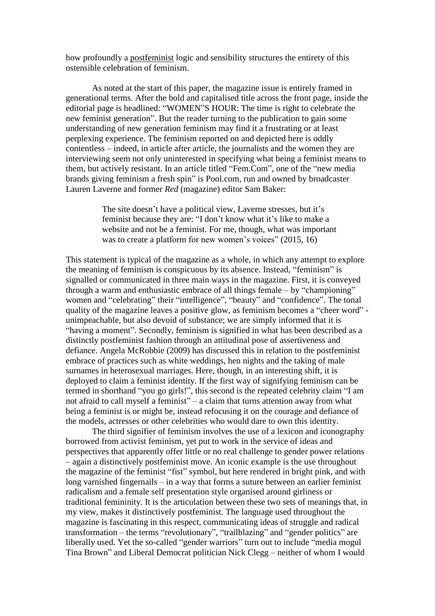how profoundly a postfeminist logic and sensibility structures the entirety of this ostensible celebration of feminism.

As noted at the start of this paper, the magazine issue is entirely framed in generational terms. After the bold and capitalised title across the front page, inside the editorial page is headlined: "WOMEN"S HOUR: The time is right to celebrate the new feminist generation". But the reader turning to the publication to gain some understanding of new generation feminism may find it a frustrating or at least perplexing experience. The feminism reported on and depicted here is oddly contentless – indeed, in article after article, the journalists and the women they are interviewing seem not only uninterested in specifying what being a feminist means to them, but actively resistant. In an article titled "Fem.Com", one of the "new media brands giving feminism a fresh spin" is Pool.com, run and owned by broadcaster Lauren Laverne and former *Red* (magazine) editor Sam Baker:

> The site doesn't have a political view, Laverne stresses, but it's feminist because they are: "I don't know what it's like to make a website and not be a feminist. For me, though, what was important was to create a platform for new women's voices" (2015, 16)

This statement is typical of the magazine as a whole, in which any attempt to explore the meaning of feminism is conspicuous by its absence. Instead, "feminism" is signalled or communicated in three main ways in the magazine. First, it is conveyed through a warm and enthusiastic embrace of all things female – by "championing" women and "celebrating" their "intelligence", "beauty" and "confidence". The tonal quality of the magazine leaves a positive glow, as feminism becomes a "cheer word" unimpeachable, but also devoid of substance; we are simply informed that it is "having a moment". Secondly, feminism is signified in what has been described as a distinctly postfeminist fashion through an attitudinal pose of assertiveness and defiance. Angela McRobbie (2009) has discussed this in relation to the postfeminist embrace of practices such as white weddings, hen nights and the taking of male surnames in heterosexual marriages. Here, though, in an interesting shift, it is deployed to claim a feminist identity. If the first way of signifying feminism can be termed in shorthand "you go girls!", this second is the repeated celebrity claim "I am not afraid to call myself a feminist" – a claim that turns attention away from what being a feminist is or might be, instead refocusing it on the courage and defiance of the models, actresses or other celebrities who would dare to own this identity.

The third signifier of feminism involves the use of a lexicon and iconography borrowed from activist feminism, yet put to work in the service of ideas and perspectives that apparently offer little or no real challenge to gender power relations – again a distinctively postfeminist move. An iconic example is the use throughout the magazine of the feminist "fist" symbol, but here rendered in bright pink, and with long varnished fingernails – in a way that forms a suture between an earlier feminist radicalism and a female self presentation style organised around girliness or traditional femininity. It is the articulation between these two sets of meanings that, in my view, makes it distinctively postfeminist. The language used throughout the magazine is fascinating in this respect, communicating ideas of struggle and radical transformation – the terms "revolutionary", "trailblazing" and "gender politics" are liberally used. Yet the so-called "gender warriors" turn out to include "media mogul Tina Brown" and Liberal Democrat politician Nick Clegg – neither of whom I would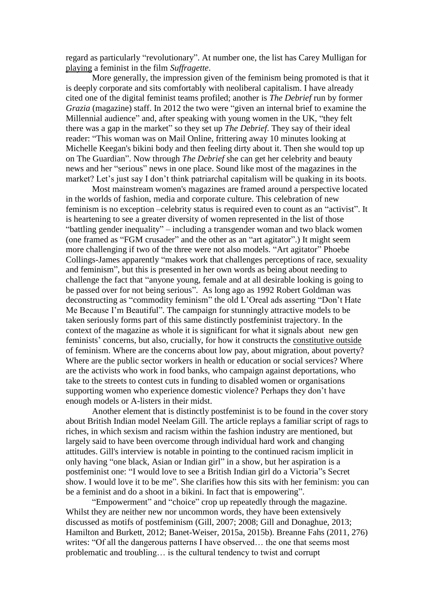regard as particularly "revolutionary". At number one, the list has Carey Mulligan for playing a feminist in the film *Suffragette*.

More generally, the impression given of the feminism being promoted is that it is deeply corporate and sits comfortably with neoliberal capitalism. I have already cited one of the digital feminist teams profiled; another is *The Debrief* run by former *Grazia* (magazine) staff. In 2012 the two were "given an internal brief to examine the Millennial audience" and, after speaking with young women in the UK, "they felt there was a gap in the market" so they set up *The Debrief*. They say of their ideal reader: "This woman was on Mail Online, frittering away 10 minutes looking at Michelle Keegan's bikini body and then feeling dirty about it. Then she would top up on The Guardian". Now through *The Debrief* she can get her celebrity and beauty news and her "serious" news in one place. Sound like most of the magazines in the market? Let's just say I don't think patriarchal capitalism will be quaking in its boots.

Most mainstream women's magazines are framed around a perspective located in the worlds of fashion, media and corporate culture. This celebration of new feminism is no exception –celebrity status is required even to count as an "activist". It is heartening to see a greater diversity of women represented in the list of those "battling gender inequality" – including a transgender woman and two black women (one framed as "FGM crusader" and the other as an "art agitator".) It might seem more challenging if two of the three were not also models. "Art agitator" Phoebe Collings-James apparently "makes work that challenges perceptions of race, sexuality and feminism", but this is presented in her own words as being about needing to challenge the fact that "anyone young, female and at all desirable looking is going to be passed over for not being serious". As long ago as 1992 Robert Goldman was deconstructing as "commodity feminism" the old L'Oreal ads asserting "Don't Hate Me Because I'm Beautiful". The campaign for stunningly attractive models to be taken seriously forms part of this same distinctly postfeminist trajectory. In the context of the magazine as whole it is significant for what it signals about new gen feminists' concerns, but also, crucially, for how it constructs the constitutive outside of feminism. Where are the concerns about low pay, about migration, about poverty? Where are the public sector workers in health or education or social services? Where are the activists who work in food banks, who campaign against deportations, who take to the streets to contest cuts in funding to disabled women or organisations supporting women who experience domestic violence? Perhaps they don't have enough models or A-listers in their midst.

Another element that is distinctly postfeminist is to be found in the cover story about British Indian model Neelam Gill. The article replays a familiar script of rags to riches, in which sexism and racism within the fashion industry are mentioned, but largely said to have been overcome through individual hard work and changing attitudes. Gill's interview is notable in pointing to the continued racism implicit in only having "one black, Asian or Indian girl" in a show, but her aspiration is a postfeminist one: "I would love to see a British Indian girl do a Victoria"s Secret show. I would love it to be me". She clarifies how this sits with her feminism: you can be a feminist and do a shoot in a bikini. In fact that is empowering".

"Empowerment" and "choice" crop up repeatedly through the magazine. Whilst they are neither new nor uncommon words, they have been extensively discussed as motifs of postfeminism (Gill, 2007; 2008; Gill and Donaghue, 2013; Hamilton and Burkett, 2012; Banet-Weiser, 2015a, 2015b). Breanne Fahs (2011, 276) writes: "Of all the dangerous patterns I have observed... the one that seems most problematic and troubling… is the cultural tendency to twist and corrupt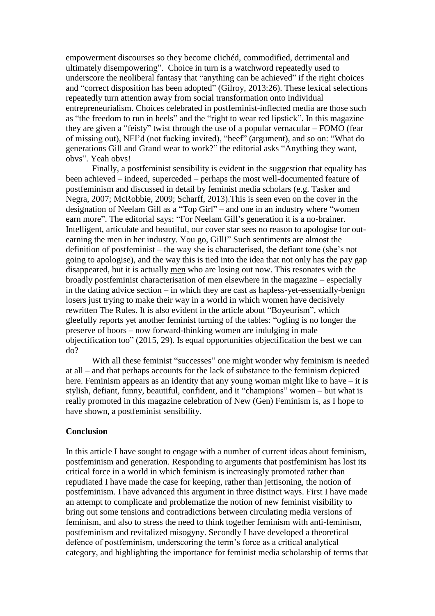empowerment discourses so they become clichéd, commodified, detrimental and ultimately disempowering". Choice in turn is a watchword repeatedly used to underscore the neoliberal fantasy that "anything can be achieved" if the right choices and "correct disposition has been adopted" (Gilroy, 2013:26). These lexical selections repeatedly turn attention away from social transformation onto individual entrepreneurialism. Choices celebrated in postfeminist-inflected media are those such as "the freedom to run in heels" and the "right to wear red lipstick". In this magazine they are given a "feisty" twist through the use of a popular vernacular – FOMO (fear of missing out), NFI'd (not fucking invited), "beef" (argument), and so on: "What do generations Gill and Grand wear to work?" the editorial asks "Anything they want, obvs". Yeah obvs!

Finally, a postfeminist sensibility is evident in the suggestion that equality has been achieved – indeed, superceded – perhaps the most well-documented feature of postfeminism and discussed in detail by feminist media scholars (e.g. Tasker and Negra, 2007; McRobbie, 2009; Scharff, 2013).This is seen even on the cover in the designation of Neelam Gill as a "Top Girl" – and one in an industry where "women earn more". The editorial says: "For Neelam Gill's generation it is a no-brainer. Intelligent, articulate and beautiful, our cover star sees no reason to apologise for outearning the men in her industry. You go, Gill!" Such sentiments are almost the definition of postfeminist – the way she is characterised, the defiant tone (she's not going to apologise), and the way this is tied into the idea that not only has the pay gap disappeared, but it is actually men who are losing out now. This resonates with the broadly postfeminist characterisation of men elsewhere in the magazine – especially in the dating advice section – in which they are cast as hapless-yet-essentially-benign losers just trying to make their way in a world in which women have decisively rewritten The Rules. It is also evident in the article about "Boyeurism", which gleefully reports yet another feminist turning of the tables: "ogling is no longer the preserve of boors – now forward-thinking women are indulging in male objectification too" (2015, 29). Is equal opportunities objectification the best we can do?

With all these feminist "successes" one might wonder why feminism is needed at all – and that perhaps accounts for the lack of substance to the feminism depicted here. Feminism appears as an identity that any young woman might like to have – it is stylish, defiant, funny, beautiful, confident, and it "champions" women – but what is really promoted in this magazine celebration of New (Gen) Feminism is, as I hope to have shown, a postfeminist sensibility.

### **Conclusion**

In this article I have sought to engage with a number of current ideas about feminism, postfeminism and generation. Responding to arguments that postfeminism has lost its critical force in a world in which feminism is increasingly promoted rather than repudiated I have made the case for keeping, rather than jettisoning, the notion of postfeminism. I have advanced this argument in three distinct ways. First I have made an attempt to complicate and problematize the notion of new feminist visibility to bring out some tensions and contradictions between circulating media versions of feminism, and also to stress the need to think together feminism with anti-feminism, postfeminism and revitalized misogyny. Secondly I have developed a theoretical defence of postfeminism, underscoring the term's force as a critical analytical category, and highlighting the importance for feminist media scholarship of terms that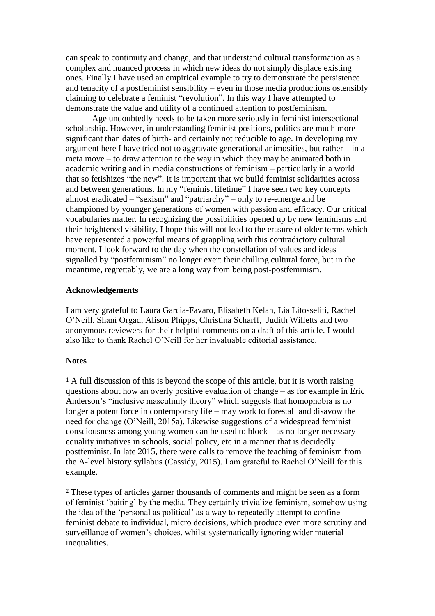can speak to continuity and change, and that understand cultural transformation as a complex and nuanced process in which new ideas do not simply displace existing ones. Finally I have used an empirical example to try to demonstrate the persistence and tenacity of a postfeminist sensibility – even in those media productions ostensibly claiming to celebrate a feminist "revolution". In this way I have attempted to demonstrate the value and utility of a continued attention to postfeminism.

Age undoubtedly needs to be taken more seriously in feminist intersectional scholarship. However, in understanding feminist positions, politics are much more significant than dates of birth- and certainly not reducible to age. In developing my argument here I have tried not to aggravate generational animosities, but rather – in a meta move – to draw attention to the way in which they may be animated both in academic writing and in media constructions of feminism – particularly in a world that so fetishizes "the new". It is important that we build feminist solidarities across and between generations. In my "feminist lifetime" I have seen two key concepts almost eradicated – "sexism" and "patriarchy" – only to re-emerge and be championed by younger generations of women with passion and efficacy. Our critical vocabularies matter. In recognizing the possibilities opened up by new feminisms and their heightened visibility, I hope this will not lead to the erasure of older terms which have represented a powerful means of grappling with this contradictory cultural moment. I look forward to the day when the constellation of values and ideas signalled by "postfeminism" no longer exert their chilling cultural force, but in the meantime, regrettably, we are a long way from being post-postfeminism.

# **Acknowledgements**

I am very grateful to Laura Garcia-Favaro, Elisabeth Kelan, Lia Litosseliti, Rachel O'Neill, Shani Orgad, Alison Phipps, Christina Scharff, Judith Willetts and two anonymous reviewers for their helpful comments on a draft of this article. I would also like to thank Rachel O'Neill for her invaluable editorial assistance.

### **Notes**

<sup>1</sup> A full discussion of this is beyond the scope of this article, but it is worth raising questions about how an overly positive evaluation of change – as for example in Eric Anderson's "inclusive masculinity theory" which suggests that homophobia is no longer a potent force in contemporary life – may work to forestall and disavow the need for change (O'Neill, 2015a). Likewise suggestions of a widespread feminist consciousness among young women can be used to block – as no longer necessary – equality initiatives in schools, social policy, etc in a manner that is decidedly postfeminist. In late 2015, there were calls to remove the teaching of feminism from the A-level history syllabus (Cassidy, 2015). I am grateful to Rachel O'Neill for this example.

<sup>2</sup> These types of articles garner thousands of comments and might be seen as a form of feminist 'baiting' by the media. They certainly trivialize feminism, somehow using the idea of the 'personal as political' as a way to repeatedly attempt to confine feminist debate to individual, micro decisions, which produce even more scrutiny and surveillance of women's choices, whilst systematically ignoring wider material inequalities.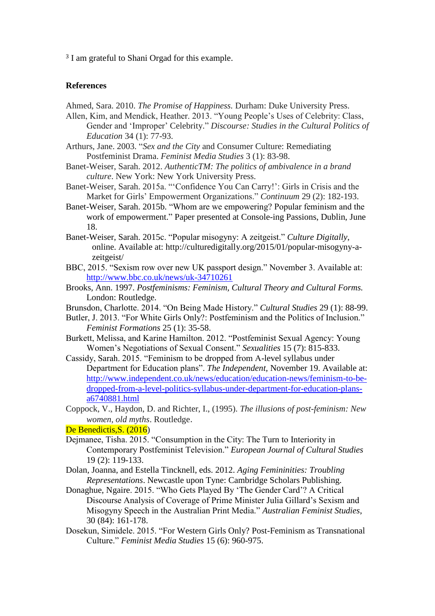<sup>3</sup> I am grateful to Shani Orgad for this example.

## **References**

Ahmed, Sara. 2010. *The Promise of Happiness.* Durham: Duke University Press.

- Allen, Kim, and Mendick, Heather. 2013. "Young People's Uses of Celebrity: Class, Gender and 'Improper' Celebrity." *Discourse: Studies in the Cultural Politics of Education* 34 (1): 77-93.
- Arthurs, Jane. 2003. "*Sex and the City* and Consumer Culture: Remediating Postfeminist Drama. *Feminist Media Studies* 3 (1): 83-98.
- Banet-Weiser, Sarah. 2012. *AuthenticTM: The politics of ambivalence in a brand culture*. New York: New York University Press.
- Banet-Weiser, Sarah. 2015a. "'Confidence You Can Carry!': Girls in Crisis and the Market for Girls' Empowerment Organizations." *Continuum* 29 (2): 182-193.
- Banet-Weiser, Sarah. 2015b. "Whom are we empowering? Popular feminism and the work of empowerment." Paper presented at Console-ing Passions, Dublin, June 18.
- Banet-Weiser, Sarah. 2015c. "Popular misogyny: A zeitgeist." *Culture Digitally*, online. Available at: [http://culturedigitally.org/2015/01/popular-misogyny-a](http://culturedigitally.org/2015/01/popular-misogyny-a-zeitgeist/)[zeitgeist/](http://culturedigitally.org/2015/01/popular-misogyny-a-zeitgeist/)
- BBC, 2015. "Sexism row over new UK passport design." November 3. Available at: <http://www.bbc.co.uk/news/uk-34710261>
- Brooks, Ann. 1997. *Postfeminisms: Feminism, Cultural Theory and Cultural Forms.* London: Routledge.
- Brunsdon, Charlotte. 2014. "On Being Made History." *Cultural Studies* 29 (1): 88-99.
- Butler, J. 2013. "For White Girls Only?: Postfeminism and the Politics of Inclusion." *Feminist Formations* 25 (1): 35-58.
- Burkett, Melissa, and Karine Hamilton. 2012. "Postfeminist Sexual Agency: Young Women's Negotiations of Sexual Consent." *Sexualities* 15 (7): 815-833.
- Cassidy, Sarah. 2015. "Feminism to be dropped from A-level syllabus under Department for Education plans". *The Independent,* November 19. Available at: [http://www.independent.co.uk/news/education/education-news/feminism-to-be](http://www.independent.co.uk/news/education/education-news/feminism-to-be-dropped-from-a-level-politics-syllabus-under-department-for-education-plans-a6740881.html)[dropped-from-a-level-politics-syllabus-under-department-for-education-plans](http://www.independent.co.uk/news/education/education-news/feminism-to-be-dropped-from-a-level-politics-syllabus-under-department-for-education-plans-a6740881.html)[a6740881.html](http://www.independent.co.uk/news/education/education-news/feminism-to-be-dropped-from-a-level-politics-syllabus-under-department-for-education-plans-a6740881.html)
- Coppock, V., Haydon, D. and Richter, I., (1995). *The illusions of post-feminism: New women, old myths*. Routledge.

### De Benedictis, S. (2016)

- Dejmanee, Tisha. 2015. "Consumption in the City: The Turn to Interiority in Contemporary Postfeminist Television." *European Journal of Cultural Studies* 19 (2): 119-133.
- Dolan, Joanna, and Estella Tincknell, eds. 2012. *Aging Femininities: Troubling Representations*. Newcastle upon Tyne: Cambridge Scholars Publishing.
- Donaghue, Ngaire. 2015. "Who Gets Played By 'The Gender Card'? A Critical Discourse Analysis of Coverage of Prime Minister Julia Gillard's Sexism and Misogyny Speech in the Australian Print Media." *Australian Feminist Studies*, 30 (84): 161-178.
- Dosekun, Simidele. 2015. "For Western Girls Only? Post-Feminism as Transnational Culture." *Feminist Media Studies* 15 (6): 960-975.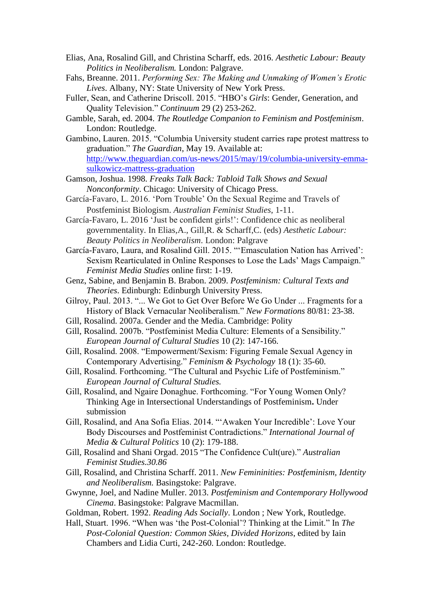- Elias, Ana, Rosalind Gill, and Christina Scharff, eds. 2016. *Aesthetic Labour: Beauty Politics in Neoliberalism.* London: Palgrave.
- Fahs, Breanne. 2011. *Performing Sex: The Making and Unmaking of Women's Erotic Lives*. Albany, NY: State University of New York Press.
- Fuller, Sean, and Catherine Driscoll. 2015. "HBO's *Girls*: Gender, Generation, and Quality Television." *Continuum* 29 (2) 253-262.
- Gamble, Sarah, ed. 2004. *The Routledge Companion to Feminism and Postfeminism*. London: Routledge.
- Gambino, Lauren. 2015. "Columbia University student carries rape protest mattress to graduation." *The Guardian*, May 19. Available at: [http://www.theguardian.com/us-news/2015/may/19/columbia-university-emma](http://www.theguardian.com/us-news/2015/may/19/columbia-university-emma-sulkowicz-mattress-graduation)[sulkowicz-mattress-graduation](http://www.theguardian.com/us-news/2015/may/19/columbia-university-emma-sulkowicz-mattress-graduation)
- Gamson, Joshua. 1998. *Freaks Talk Back: Tabloid Talk Shows and Sexual Nonconformity*. Chicago: University of Chicago Press.
- García-Favaro, L. 2016. 'Porn Trouble' On the Sexual Regime and Travels of Postfeminist Biologism. *Australian Feminist Studies*, 1-11.
- García-Favaro, L. 2016 'Just be confident girls!': Confidence chic as neoliberal governmentality. In Elias,A., Gill,R. & Scharff,C. (eds) *Aesthetic Labour: Beauty Politics in Neoliberalism*. London: Palgrave
- García-Favaro, Laura, and Rosalind Gill. 2015. "'Emasculation Nation has Arrived': Sexism Rearticulated in Online Responses to Lose the Lads' Mags Campaign." *Feminist Media Studies* online first: 1-19.
- Genz, Sabine, and Benjamin B. Brabon. 2009. *Postfeminism: Cultural Texts and Theories*. Edinburgh: Edinburgh University Press.
- Gilroy, Paul. 2013. "... We Got to Get Over Before We Go Under ... Fragments for a History of Black Vernacular Neoliberalism." *New Formations* 80/81: 23-38.
- Gill, Rosalind. 2007a. Gender and the Media. Cambridge: Polity
- Gill, Rosalind. 2007b. "Postfeminist Media Culture: Elements of a Sensibility." *European Journal of Cultural Studies* 10 (2): 147-166.
- Gill, Rosalind. 2008. "Empowerment/Sexism: Figuring Female Sexual Agency in Contemporary Advertising." *Feminism & Psychology* 18 (1): 35-60.
- Gill, Rosalind. Forthcoming. "The Cultural and Psychic Life of Postfeminism." *European Journal of Cultural Studies.*
- Gill, Rosalind, and Ngaire Donaghue. Forthcoming. "For Young Women Only? Thinking Age in Intersectional Understandings of Postfeminism**.** Under submission
- Gill, Rosalind, and Ana Sofia Elias. 2014. "'Awaken Your Incredible': Love Your Body Discourses and Postfeminist Contradictions." *International Journal of Media & Cultural Politics* 10 (2): 179-188.
- Gill, Rosalind and Shani Orgad. 2015 "The Confidence Cult(ure)." *Australian Feminist Studies.30.86*
- Gill, Rosalind, and Christina Scharff. 2011. *New Femininities: Postfeminism, Identity and Neoliberalism.* Basingstoke: Palgrave.
- Gwynne, Joel, and Nadine Muller. 2013. *Postfeminism and Contemporary Hollywood Cinema*. Basingstoke: Palgrave Macmillan.
- Goldman, Robert. 1992. *Reading Ads Socially*. London ; New York, Routledge.
- Hall, Stuart. 1996. "When was 'the Post-Colonial'? Thinking at the Limit." In *The Post-Colonial Question: Common Skies, Divided Horizons*, edited by Iain Chambers and Lidia Curti, 242-260. London: Routledge.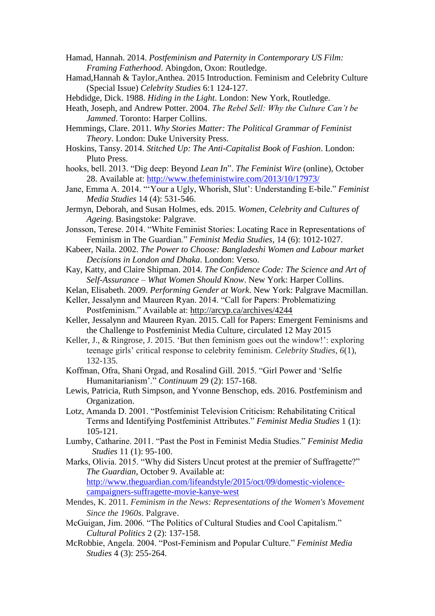Hamad, Hannah. 2014. *Postfeminism and Paternity in Contemporary US Film: Framing Fatherhood*. Abingdon, Oxon: Routledge.

- Hamad,Hannah & Taylor,Anthea. 2015 Introduction. Feminism and Celebrity Culture (Special Issue) *Celebrity Studies* 6:1 124-127.
- Hebdidge, Dick. 1988. *Hiding in the Light*. London: New York, Routledge.
- Heath, Joseph, and Andrew Potter. 2004. *The Rebel Sell: Why the Culture Can't be Jammed*. Toronto: Harper Collins.
- Hemmings, Clare. 2011. *Why Stories Matter: The Political Grammar of Feminist Theory*. London: Duke University Press.
- Hoskins, Tansy. 2014. *Stitched Up: The Anti-Capitalist Book of Fashion*. London: Pluto Press.
- hooks, bell. 2013. "Dig deep: Beyond *Lean In*". *The Feminist Wire* (online), October 28. Available at:<http://www.thefeministwire.com/2013/10/17973/>
- Jane, Emma A. 2014. "'Your a Ugly, Whorish, Slut': Understanding E-bile." *Feminist Media Studies* 14 (4): 531-546.
- Jermyn, Deborah, and Susan Holmes, eds. 2015. *Women, Celebrity and Cultures of Ageing.* Basingstoke: Palgrave.
- Jonsson, Terese. 2014. "White Feminist Stories: Locating Race in Representations of Feminism in The Guardian." *Feminist Media Studies,* 14 (6): 1012-1027.
- Kabeer, Naila. 2002. *The Power to Choose: Bangladeshi Women and Labour market Decisions in London and Dhaka*. London: Verso.
- Kay, Katty, and Claire Shipman. 2014. *The Confidence Code: The Science and Art of Self-Assurance – What Women Should Know*. New York: Harper Collins.
- Kelan, Elisabeth. 2009. *Performing Gender at Work*. New York: Palgrave Macmillan.
- Keller, Jessalynn and Maureen Ryan. 2014. "Call for Papers: Problematizing Postfeminism." Available at:<http://arcyp.ca/archives/4244>
- Keller, Jessalynn and Maureen Ryan. 2015. Call for Papers: Emergent Feminisms and the Challenge to Postfeminist Media Culture, circulated 12 May 2015
- Keller, J., & Ringrose, J. 2015. 'But then feminism goes out the window!': exploring teenage girls' critical response to celebrity feminism. *Celebrity Studies*, *6*(1), 132-135.
- Koffman, Ofra, Shani Orgad, and Rosalind Gill. 2015. "Girl Power and 'Selfie Humanitarianism'." *Continuum* 29 (2): 157-168.
- Lewis, Patricia, Ruth Simpson, and Yvonne Benschop, eds. 2016. Postfeminism and Organization.
- Lotz, Amanda D. 2001. "Postfeminist Television Criticism: Rehabilitating Critical Terms and Identifying Postfeminist Attributes." *Feminist Media Studies* 1 (1): 105-121.
- Lumby, Catharine. 2011. "Past the Post in Feminist Media Studies." *Feminist Media Studies* 11 (1): 95-100.
- Marks, Olivia. 2015. "Why did Sisters Uncut protest at the premier of Suffragette?" *The Guardian*, October 9. Available at: [http://www.theguardian.com/lifeandstyle/2015/oct/09/domestic-violence](http://www.theguardian.com/lifeandstyle/2015/oct/09/domestic-violence-campaigners-suffragette-movie-kanye-west)[campaigners-suffragette-movie-kanye-west](http://www.theguardian.com/lifeandstyle/2015/oct/09/domestic-violence-campaigners-suffragette-movie-kanye-west)
- Mendes, K. 2011. *Feminism in the News: Representations of the Women's Movement Since the 1960s*. Palgrave.
- McGuigan, Jim. 2006. "The Politics of Cultural Studies and Cool Capitalism." *Cultural Politics* 2 (2): 137-158.
- McRobbie, Angela. 2004. "Post-Feminism and Popular Culture." *Feminist Media Studies* 4 (3): 255-264.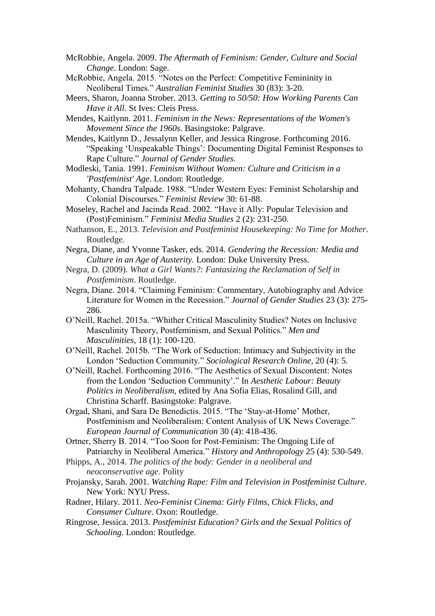- McRobbie, Angela. 2009. *The Aftermath of Feminism: Gender, Culture and Social Change*. London: Sage.
- McRobbie, Angela. 2015. "Notes on the Perfect: Competitive Femininity in Neoliberal Times." *Australian Feminist Studies* 30 (83): 3-20.
- Meers, Sharon, Joanna Strober. 2013. *Getting to 50/50: How Working Parents Can Have it All*. St Ives: Cleis Press.

Mendes, Kaitlynn. 2011. *Feminism in the News: Representations of the Women's Movement Since the 1960s*. Basingstoke: Palgrave.

Mendes, Kaitlynn D., Jessalynn Keller, and Jessica Ringrose. Forthcoming 2016. "Speaking 'Unspeakable Things': Documenting Digital Feminist Responses to Rape Culture." *Journal of Gender Studies.* 

Modleski, Tania. 1991. *Feminism Without Women: Culture and Criticism in a 'Postfeminist' Age*. London: Routledge.

Mohanty, Chandra Talpade. 1988. "Under Western Eyes: Feminist Scholarship and Colonial Discourses." *Feminist Review* 30: 61-88.

Moseley, Rachel and Jacinda Read. 2002. "Have it Ally: Popular Television and (Post)Feminism." *Feminist Media Studies* 2 (2): 231-250.

- Nathanson, E., 2013. *Television and Postfeminist Housekeeping: No Time for Mother*. Routledge.
- Negra, Diane, and Yvonne Tasker, eds. 2014. *Gendering the Recession: Media and Culture in an Age of Austerity*. London: Duke University Press.
- Negra, D. (2009). *What a Girl Wants?: Fantasizing the Reclamation of Self in Postfeminism*. Routledge.
- Negra, Diane. 2014. "Claiming Feminism: Commentary, Autobiography and Advice Literature for Women in the Recession." *Journal of Gender Studies* 23 (3): 275- 286.
- O'Neill, Rachel. 2015a. "Whither Critical Masculinity Studies? Notes on Inclusive Masculinity Theory, Postfeminism, and Sexual Politics." *Men and Masculinities*, 18 (1): 100-120.
- O'Neill, Rachel. 2015b. "The Work of Seduction: Intimacy and Subjectivity in the London 'Seduction Community." *Sociological Research Online,* 20 (4): 5.
- O'Neill, Rachel. Forthcoming 2016. "The Aesthetics of Sexual Discontent: Notes from the London 'Seduction Community'." In *Aesthetic Labour: Beauty Politics in Neoliberalism,* edited by Ana Sofia Elias, Rosalind Gill, and Christina Scharff. Basingstoke: Palgrave.

Orgad, Shani, and Sara De Benedictis. 2015. "The 'Stay-at-Home' Mother, Postfeminism and Neoliberalism: Content Analysis of UK News Coverage." *European Journal of Communication* 30 (4): 418-436.

Ortner, Sherry B. 2014. "Too Soon for Post-Feminism: The Ongoing Life of Patriarchy in Neoliberal America." *History and Anthropology* 25 (4): 530-549.

- Phipps, A., 2014. *The politics of the body: Gender in a neoliberal and neoconservative age*. Polity
- Projansky, Sarah. 2001. *Watching Rape: Film and Television in Postfeminist Culture*. New York: NYU Press.

Radner, Hilary. 2011. *Neo-Feminist Cinema: Girly Films, Chick Flicks, and Consumer Culture*. Oxon: Routledge.

Ringrose, Jessica. 2013. *Postfeminist Education? Girls and the Sexual Politics of Schooling*. London: Routledge.